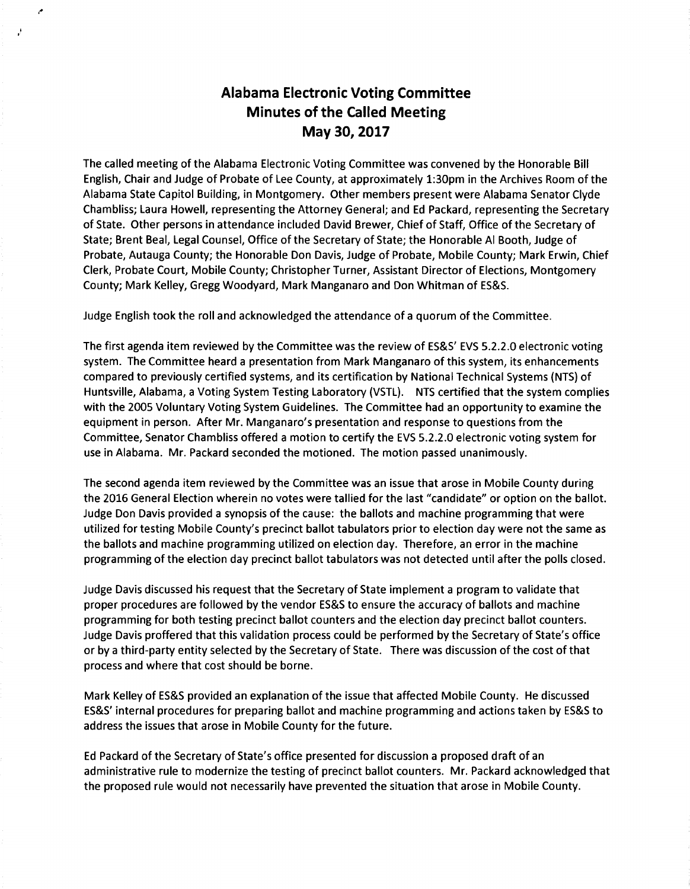## **Alabama Electronic Voting Committee Minutes of the Called Meeting May 30, 2017**

The called meeting ofthe Alabama Electronic Voting Committee was convened by the Honorable Bill English, Chair and Judge of Probate of Lee County, at approximately 1:30pm in the Archives Room of the Alabama State Capitol Building, in Montgomery. Other members present were Alabama Senator Clyde Chambliss; Laura Howell, representing the Attorney General; and Ed Packard, representing the Secretary of State. Other persons in attendance included David Brewer, Chief of Staff, Office of the Secretary of State; Brent Beal, Legal Counsel, Office of the Secretary of State; the Honorable Al Booth, Judge of Probate, Autauga County; the Honorable Don Davis, Judge of Probate, Mobile County; Mark Erwin, Chief Clerk, Probate Court, Mobile County; Christopher Turner, Assistant Director of Elections, Montgomery County; Mark Kelley, Gregg Woodyard, Mark Manganaro and Don Whitman of ES&S.

Judge English took the roll and acknowledged the attendance of a quorum of the Committee.

The first agenda item reviewed by the Committee was the review of ES&S' EVS 5.2.2.0 electronic voting system. The Committee heard a presentation from Mark Manganaro of this system, its enhancements compared to previously certified systems, and its certification by National Technical Systems (NTS) of Huntsville, Alabama, a Voting System Testing Laboratory (VSTL). NTS certified that the system complies with the 2005 Voluntary Voting System Guidelines. The Committee had an opportunity to examine the equipment in person. After Mr. Manganaro's presentation and response to questions from the Committee, Senator Chambliss offered a motion to certify the EVS 5.2.2.0 electronic voting system for use in Alabama. Mr. Packard seconded the motioned. The motion passed unanimously.

The second agenda item reviewed by the Committee was an issue that arose in Mobile County during the 2016 General Election wherein no votes were tallied for the last "candidate" or option on the ballot. Judge Don Davis provided a synopsis of the cause: the ballots and machine programming that were utilized for testing Mobile County's precinct ballot tabulators prior to election day were not the same as the ballots and machine programming utilized on election day. Therefore, an error in the machine programming of the election day precinct ballot tabulators was not detected until after the polls closed.

Judge Davis discussed his request that the Secretary of State implement a program to validate that proper procedures are followed by the vendor ES&S to ensure the accuracy of ballots and machine programming for both testing precinct ballot counters and the election day precinct ballot counters. Judge Davis proffered that this validation process could be performed by the Secretary of State's office or by a third-party entity selected by the Secretary of State. There was discussion of the cost of that process and where that cost should be borne.

Mark Kelley of ES&S provided an explanation of the issue that affected Mobile County. He discussed ES&S' internal procedures for preparing ballot and machine programming and actions taken by ES&S to address the issues that arose in Mobile County for the future.

Ed Packard of the Secretary of State's office presented for discussion a proposed draft of an administrative rule to modernize the testing of precinct ballot counters. Mr. Packard acknowledged that the proposed rule would not necessarily have prevented the situation that arose in Mobile County.